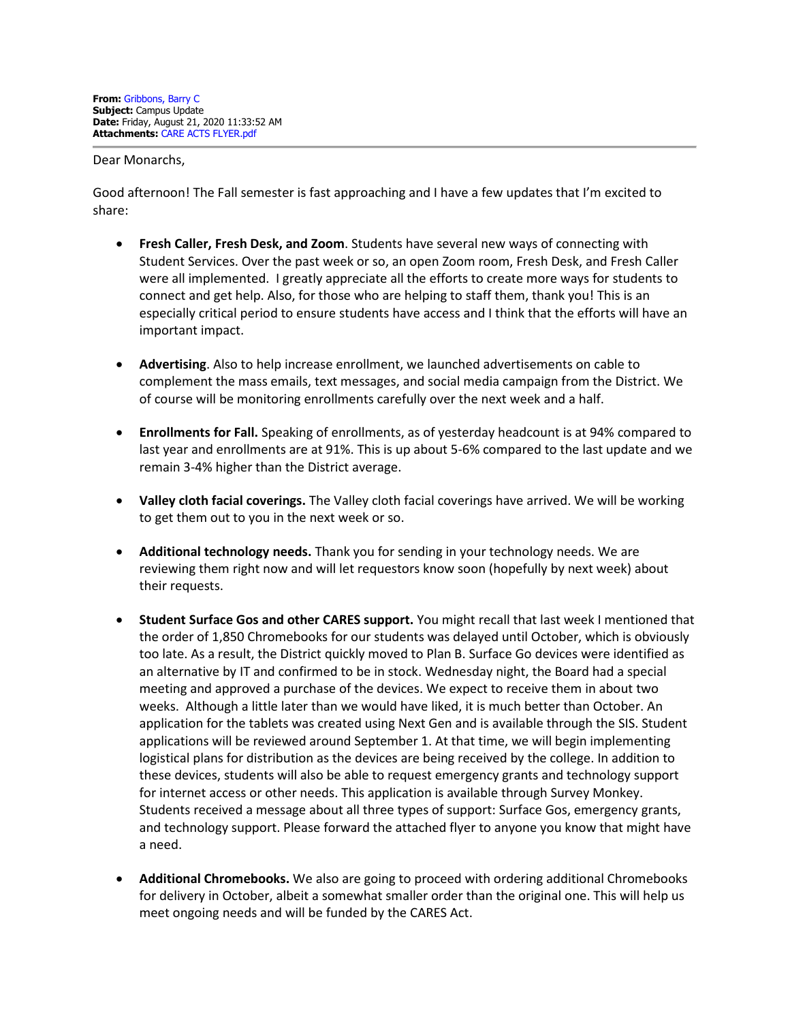Dear Monarchs,

Good afternoon! The Fall semester is fast approaching and I have a few updates that I'm excited to share:

- **Fresh Caller, Fresh Desk, and Zoom**. Students have several new ways of connecting with Student Services. Over the past week or so, an open Zoom room, Fresh Desk, and Fresh Caller were all implemented. I greatly appreciate all the efforts to create more ways for students to connect and get help. Also, for those who are helping to staff them, thank you! This is an especially critical period to ensure students have access and I think that the efforts will have an important impact.
- **Advertising**. Also to help increase enrollment, we launched advertisements on cable to complement the mass emails, text messages, and social media campaign from the District. We of course will be monitoring enrollments carefully over the next week and a half.
- **Enrollments for Fall.** Speaking of enrollments, as of yesterday headcount is at 94% compared to last year and enrollments are at 91%. This is up about 5-6% compared to the last update and we remain 3-4% higher than the District average.
- **Valley cloth facial coverings.** The Valley cloth facial coverings have arrived. We will be working to get them out to you in the next week or so.
- **Additional technology needs.** Thank you for sending in your technology needs. We are reviewing them right now and will let requestors know soon (hopefully by next week) about their requests.
- **Student Surface Gos and other CARES support.** You might recall that last week I mentioned that the order of 1,850 Chromebooks for our students was delayed until October, which is obviously too late. As a result, the District quickly moved to Plan B. Surface Go devices were identified as an alternative by IT and confirmed to be in stock. Wednesday night, the Board had a special meeting and approved a purchase of the devices. We expect to receive them in about two weeks. Although a little later than we would have liked, it is much better than October. An application for the tablets was created using Next Gen and is available through the SIS. Student applications will be reviewed around September 1. At that time, we will begin implementing logistical plans for distribution as the devices are being received by the college. In addition to these devices, students will also be able to request emergency grants and technology support for internet access or other needs. This application is available through Survey Monkey. Students received a message about all three types of support: Surface Gos, emergency grants, and technology support. Please forward the attached flyer to anyone you know that might have a need.
- **Additional Chromebooks.** We also are going to proceed with ordering additional Chromebooks for delivery in October, albeit a somewhat smaller order than the original one. This will help us meet ongoing needs and will be funded by the CARES Act.